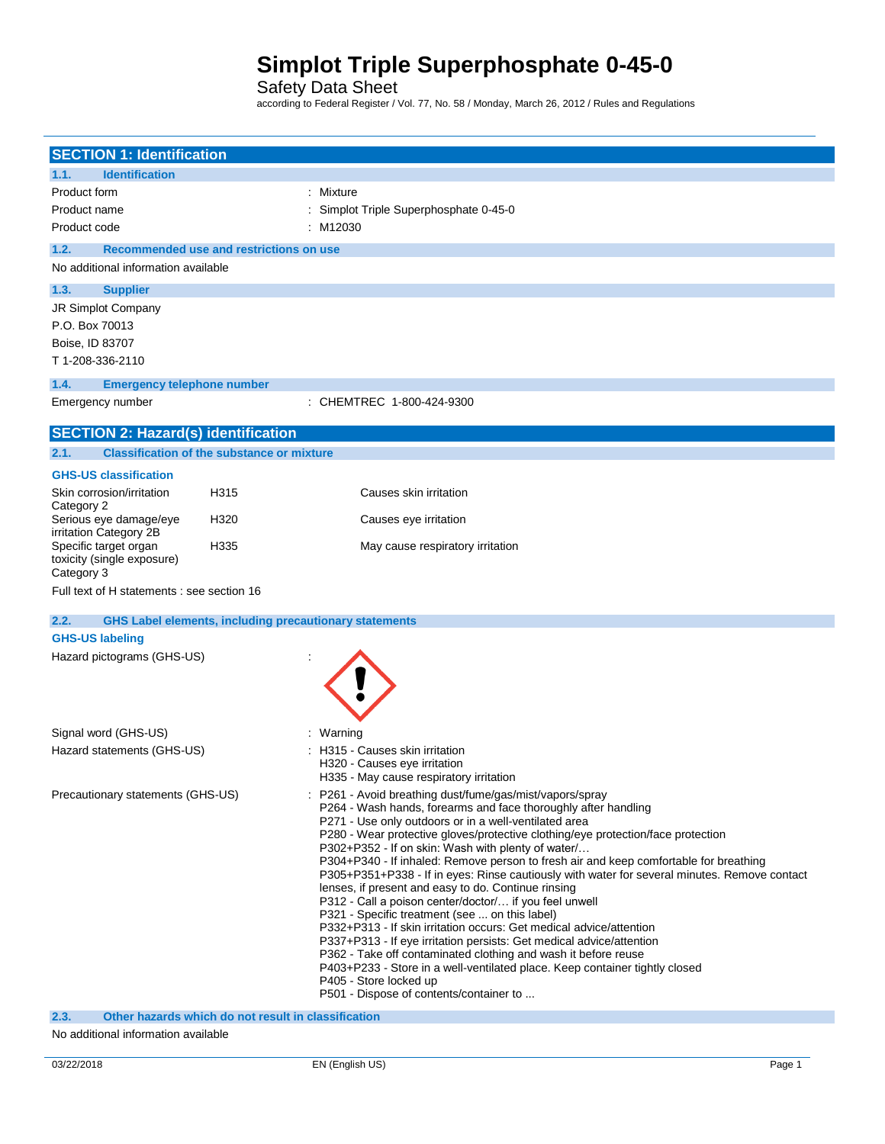Safety Data Sheet

according to Federal Register / Vol. 77, No. 58 / Monday, March 26, 2012 / Rules and Regulations

| <b>SECTION 1: Identification</b>                                  |                                                               |                                                                                                                                                                                                                                                                                                                                                                                                                                                                                                                                                                                                                                                                                                                                                                                                                                                                                                                                                                                                                                                              |
|-------------------------------------------------------------------|---------------------------------------------------------------|--------------------------------------------------------------------------------------------------------------------------------------------------------------------------------------------------------------------------------------------------------------------------------------------------------------------------------------------------------------------------------------------------------------------------------------------------------------------------------------------------------------------------------------------------------------------------------------------------------------------------------------------------------------------------------------------------------------------------------------------------------------------------------------------------------------------------------------------------------------------------------------------------------------------------------------------------------------------------------------------------------------------------------------------------------------|
| <b>Identification</b><br>1.1.                                     |                                                               |                                                                                                                                                                                                                                                                                                                                                                                                                                                                                                                                                                                                                                                                                                                                                                                                                                                                                                                                                                                                                                                              |
| Product form                                                      |                                                               | Mixture                                                                                                                                                                                                                                                                                                                                                                                                                                                                                                                                                                                                                                                                                                                                                                                                                                                                                                                                                                                                                                                      |
| Product name                                                      |                                                               | Simplot Triple Superphosphate 0-45-0                                                                                                                                                                                                                                                                                                                                                                                                                                                                                                                                                                                                                                                                                                                                                                                                                                                                                                                                                                                                                         |
| Product code                                                      |                                                               | : M12030                                                                                                                                                                                                                                                                                                                                                                                                                                                                                                                                                                                                                                                                                                                                                                                                                                                                                                                                                                                                                                                     |
| 1.2.                                                              | Recommended use and restrictions on use                       |                                                                                                                                                                                                                                                                                                                                                                                                                                                                                                                                                                                                                                                                                                                                                                                                                                                                                                                                                                                                                                                              |
| No additional information available                               |                                                               |                                                                                                                                                                                                                                                                                                                                                                                                                                                                                                                                                                                                                                                                                                                                                                                                                                                                                                                                                                                                                                                              |
| 1.3.<br><b>Supplier</b>                                           |                                                               |                                                                                                                                                                                                                                                                                                                                                                                                                                                                                                                                                                                                                                                                                                                                                                                                                                                                                                                                                                                                                                                              |
| JR Simplot Company                                                |                                                               |                                                                                                                                                                                                                                                                                                                                                                                                                                                                                                                                                                                                                                                                                                                                                                                                                                                                                                                                                                                                                                                              |
| P.O. Box 70013                                                    |                                                               |                                                                                                                                                                                                                                                                                                                                                                                                                                                                                                                                                                                                                                                                                                                                                                                                                                                                                                                                                                                                                                                              |
| Boise, ID 83707                                                   |                                                               |                                                                                                                                                                                                                                                                                                                                                                                                                                                                                                                                                                                                                                                                                                                                                                                                                                                                                                                                                                                                                                                              |
| T 1-208-336-2110                                                  |                                                               |                                                                                                                                                                                                                                                                                                                                                                                                                                                                                                                                                                                                                                                                                                                                                                                                                                                                                                                                                                                                                                                              |
| 1.4.<br><b>Emergency telephone number</b>                         |                                                               |                                                                                                                                                                                                                                                                                                                                                                                                                                                                                                                                                                                                                                                                                                                                                                                                                                                                                                                                                                                                                                                              |
| Emergency number                                                  |                                                               | CHEMTREC 1-800-424-9300                                                                                                                                                                                                                                                                                                                                                                                                                                                                                                                                                                                                                                                                                                                                                                                                                                                                                                                                                                                                                                      |
|                                                                   |                                                               |                                                                                                                                                                                                                                                                                                                                                                                                                                                                                                                                                                                                                                                                                                                                                                                                                                                                                                                                                                                                                                                              |
| <b>SECTION 2: Hazard(s) identification</b>                        |                                                               |                                                                                                                                                                                                                                                                                                                                                                                                                                                                                                                                                                                                                                                                                                                                                                                                                                                                                                                                                                                                                                                              |
| 2.1.                                                              | <b>Classification of the substance or mixture</b>             |                                                                                                                                                                                                                                                                                                                                                                                                                                                                                                                                                                                                                                                                                                                                                                                                                                                                                                                                                                                                                                                              |
| <b>GHS-US classification</b>                                      |                                                               |                                                                                                                                                                                                                                                                                                                                                                                                                                                                                                                                                                                                                                                                                                                                                                                                                                                                                                                                                                                                                                                              |
| Skin corrosion/irritation<br>Category 2                           | H315                                                          | Causes skin irritation                                                                                                                                                                                                                                                                                                                                                                                                                                                                                                                                                                                                                                                                                                                                                                                                                                                                                                                                                                                                                                       |
| Serious eye damage/eye<br>irritation Category 2B                  | H320                                                          | Causes eye irritation                                                                                                                                                                                                                                                                                                                                                                                                                                                                                                                                                                                                                                                                                                                                                                                                                                                                                                                                                                                                                                        |
| Specific target organ<br>toxicity (single exposure)<br>Category 3 | H335                                                          | May cause respiratory irritation                                                                                                                                                                                                                                                                                                                                                                                                                                                                                                                                                                                                                                                                                                                                                                                                                                                                                                                                                                                                                             |
| Full text of H statements : see section 16                        |                                                               |                                                                                                                                                                                                                                                                                                                                                                                                                                                                                                                                                                                                                                                                                                                                                                                                                                                                                                                                                                                                                                                              |
| 2.2.                                                              | <b>GHS Label elements, including precautionary statements</b> |                                                                                                                                                                                                                                                                                                                                                                                                                                                                                                                                                                                                                                                                                                                                                                                                                                                                                                                                                                                                                                                              |
| <b>GHS-US labeling</b>                                            |                                                               |                                                                                                                                                                                                                                                                                                                                                                                                                                                                                                                                                                                                                                                                                                                                                                                                                                                                                                                                                                                                                                                              |
| Hazard pictograms (GHS-US)                                        |                                                               |                                                                                                                                                                                                                                                                                                                                                                                                                                                                                                                                                                                                                                                                                                                                                                                                                                                                                                                                                                                                                                                              |
|                                                                   |                                                               |                                                                                                                                                                                                                                                                                                                                                                                                                                                                                                                                                                                                                                                                                                                                                                                                                                                                                                                                                                                                                                                              |
| Signal word (GHS-US)                                              |                                                               | : Warning                                                                                                                                                                                                                                                                                                                                                                                                                                                                                                                                                                                                                                                                                                                                                                                                                                                                                                                                                                                                                                                    |
| Hazard statements (GHS-US)                                        |                                                               | H315 - Causes skin irritation<br>H320 - Causes eye irritation<br>H335 - May cause respiratory irritation                                                                                                                                                                                                                                                                                                                                                                                                                                                                                                                                                                                                                                                                                                                                                                                                                                                                                                                                                     |
| Precautionary statements (GHS-US)                                 |                                                               | P261 - Avoid breathing dust/fume/gas/mist/vapors/spray<br>P264 - Wash hands, forearms and face thoroughly after handling<br>P271 - Use only outdoors or in a well-ventilated area<br>P280 - Wear protective gloves/protective clothing/eye protection/face protection<br>P302+P352 - If on skin: Wash with plenty of water/<br>P304+P340 - If inhaled: Remove person to fresh air and keep comfortable for breathing<br>P305+P351+P338 - If in eyes: Rinse cautiously with water for several minutes. Remove contact<br>lenses, if present and easy to do. Continue rinsing<br>P312 - Call a poison center/doctor/ if you feel unwell<br>P321 - Specific treatment (see  on this label)<br>P332+P313 - If skin irritation occurs: Get medical advice/attention<br>P337+P313 - If eye irritation persists: Get medical advice/attention<br>P362 - Take off contaminated clothing and wash it before reuse<br>P403+P233 - Store in a well-ventilated place. Keep container tightly closed<br>P405 - Store locked up<br>P501 - Dispose of contents/container to |
| 2.3.                                                              | Other hazards which do not result in classification           |                                                                                                                                                                                                                                                                                                                                                                                                                                                                                                                                                                                                                                                                                                                                                                                                                                                                                                                                                                                                                                                              |

No additional information available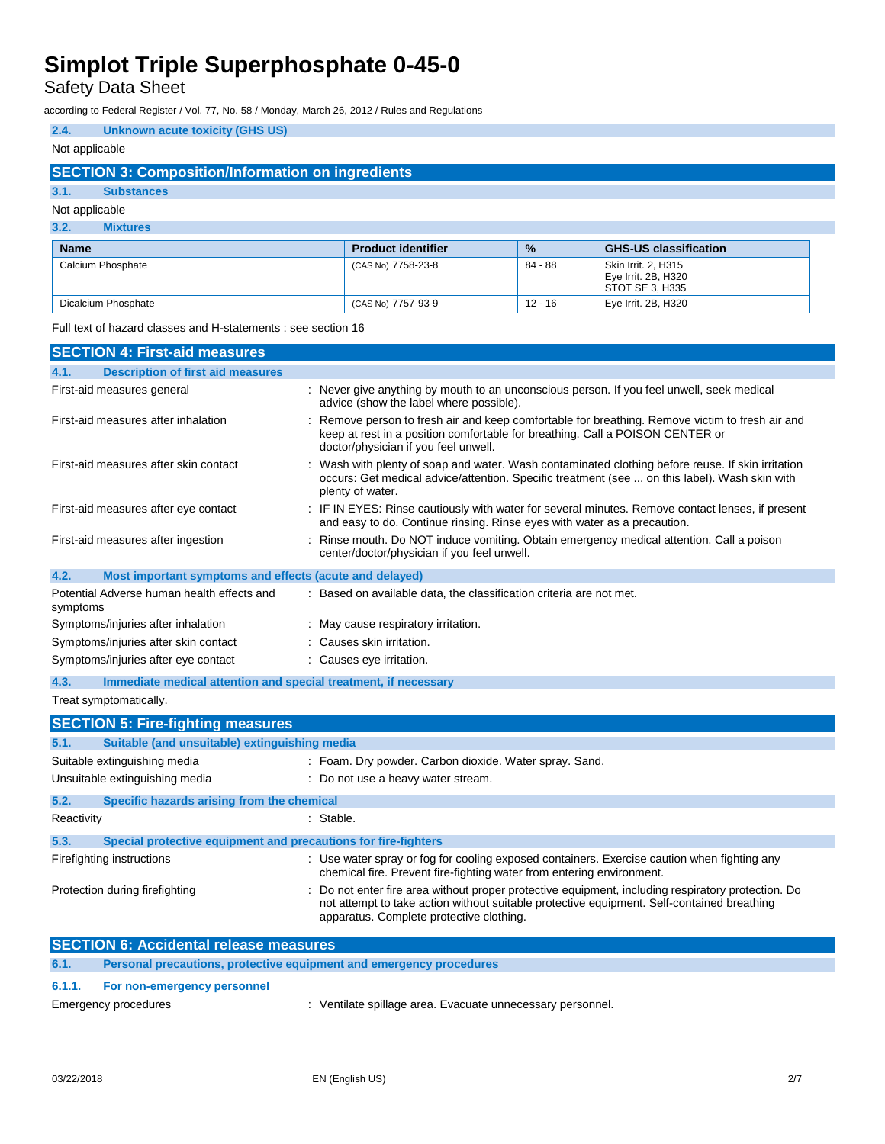Safety Data Sheet

according to Federal Register / Vol. 77, No. 58 / Monday, March 26, 2012 / Rules and Regulations

### **2.4. Unknown acute toxicity (GHS US)** Not applicable

### **SECTION 3: Composition/Information on ingredients**

### **3.1. Substances**

#### Not applicable

#### **3.2. Mixtures**

| <b>Name</b>         | <b>Product identifier</b> | $\frac{9}{6}$ | <b>GHS-US classification</b>                                  |
|---------------------|---------------------------|---------------|---------------------------------------------------------------|
| Calcium Phosphate   | (CAS No) 7758-23-8        | 84 - 88       | Skin Irrit, 2, H315<br>Eye Irrit. 2B, H320<br>STOT SE 3. H335 |
| Dicalcium Phosphate | (CAS No) 7757-93-9        | $12 - 16$     | Eye Irrit. 2B, H320                                           |

Full text of hazard classes and H-statements : see section 16

| <b>SECTION 4: First-aid measures</b>                                        |                                                                                                                                                                                                                                            |
|-----------------------------------------------------------------------------|--------------------------------------------------------------------------------------------------------------------------------------------------------------------------------------------------------------------------------------------|
| 4.1.<br><b>Description of first aid measures</b>                            |                                                                                                                                                                                                                                            |
| First-aid measures general                                                  | : Never give anything by mouth to an unconscious person. If you feel unwell, seek medical<br>advice (show the label where possible).                                                                                                       |
| First-aid measures after inhalation                                         | : Remove person to fresh air and keep comfortable for breathing. Remove victim to fresh air and<br>keep at rest in a position comfortable for breathing. Call a POISON CENTER or<br>doctor/physician if you feel unwell.                   |
| First-aid measures after skin contact                                       | Wash with plenty of soap and water. Wash contaminated clothing before reuse. If skin irritation<br>occurs: Get medical advice/attention. Specific treatment (see  on this label). Wash skin with<br>plenty of water.                       |
| First-aid measures after eye contact                                        | : IF IN EYES: Rinse cautiously with water for several minutes. Remove contact lenses, if present<br>and easy to do. Continue rinsing. Rinse eyes with water as a precaution.                                                               |
| First-aid measures after ingestion                                          | : Rinse mouth. Do NOT induce vomiting. Obtain emergency medical attention. Call a poison<br>center/doctor/physician if you feel unwell.                                                                                                    |
| 4.2.<br>Most important symptoms and effects (acute and delayed)             |                                                                                                                                                                                                                                            |
| Potential Adverse human health effects and<br>symptoms                      | : Based on available data, the classification criteria are not met.                                                                                                                                                                        |
| Symptoms/injuries after inhalation                                          | : May cause respiratory irritation.                                                                                                                                                                                                        |
| Symptoms/injuries after skin contact                                        | : Causes skin irritation.                                                                                                                                                                                                                  |
| Symptoms/injuries after eye contact                                         | : Causes eye irritation.                                                                                                                                                                                                                   |
| 4.3.<br>Immediate medical attention and special treatment, if necessary     |                                                                                                                                                                                                                                            |
| Treat symptomatically.                                                      |                                                                                                                                                                                                                                            |
| <b>SECTION 5: Fire-fighting measures</b>                                    |                                                                                                                                                                                                                                            |
| 5.1.<br>Suitable (and unsuitable) extinguishing media                       |                                                                                                                                                                                                                                            |
| Suitable extinguishing media                                                | : Foam. Dry powder. Carbon dioxide. Water spray. Sand.                                                                                                                                                                                     |
| Unsuitable extinguishing media                                              | : Do not use a heavy water stream.                                                                                                                                                                                                         |
| 5.2.<br>Specific hazards arising from the chemical                          |                                                                                                                                                                                                                                            |
| Reactivity                                                                  | : Stable.                                                                                                                                                                                                                                  |
| 5.3.<br>Special protective equipment and precautions for fire-fighters      |                                                                                                                                                                                                                                            |
| Firefighting instructions                                                   | : Use water spray or fog for cooling exposed containers. Exercise caution when fighting any<br>chemical fire. Prevent fire-fighting water from entering environment.                                                                       |
| Protection during firefighting                                              | Do not enter fire area without proper protective equipment, including respiratory protection. Do<br>not attempt to take action without suitable protective equipment. Self-contained breathing<br>apparatus. Complete protective clothing. |
| <b>SECTION 6: Accidental release measures</b>                               |                                                                                                                                                                                                                                            |
| Personal precautions, protective equipment and emergency procedures<br>6.1. |                                                                                                                                                                                                                                            |
| 6.1.1.<br>For non-emergency personnel                                       |                                                                                                                                                                                                                                            |

Emergency procedures **in the contract of the Contract Contract Contract Contract Contract Contract Contract Contract Contract Contract Contract Contract Contract Contract Contract Contract Contract Contract Contract Contra**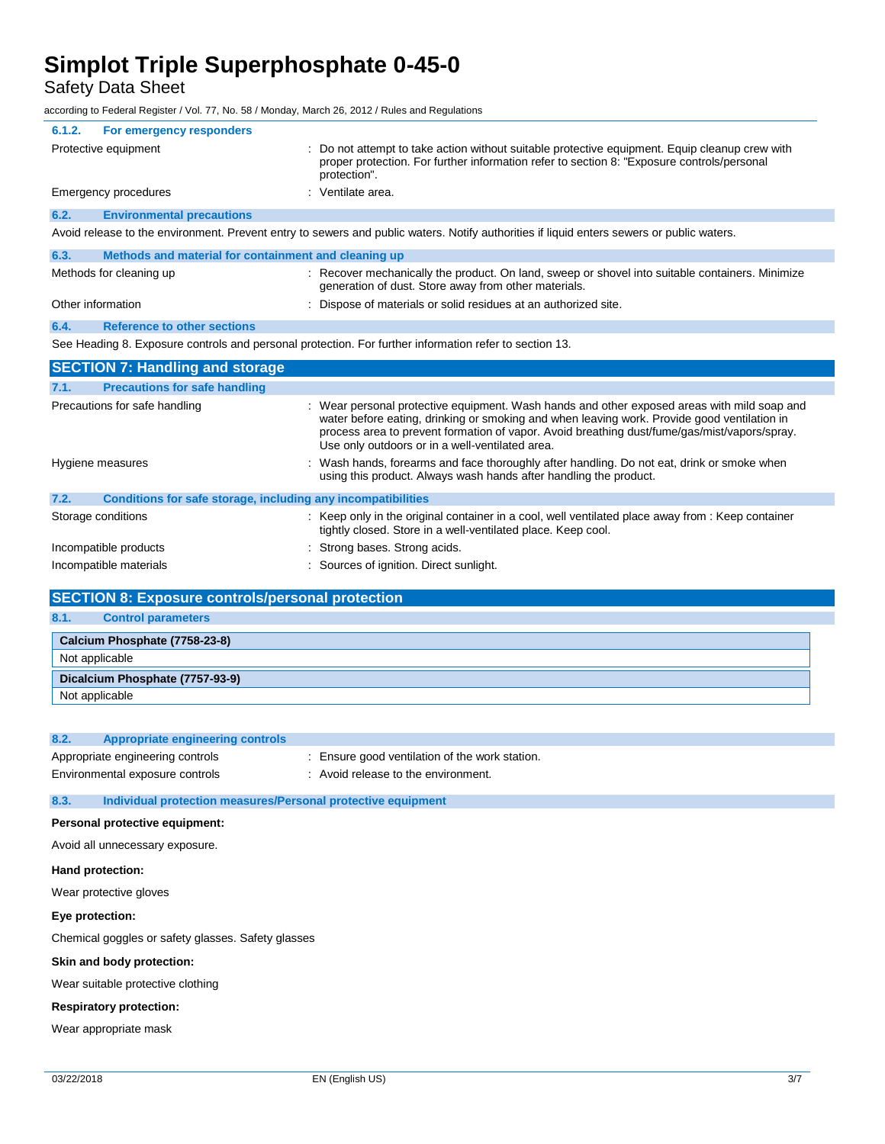Safety Data Sheet

according to Federal Register / Vol. 77, No. 58 / Monday, March 26, 2012 / Rules and Regulations

| 6.1.2.                  | For emergency responders                                     |                                                                                                                                                                                                                                                                                                                                               |
|-------------------------|--------------------------------------------------------------|-----------------------------------------------------------------------------------------------------------------------------------------------------------------------------------------------------------------------------------------------------------------------------------------------------------------------------------------------|
| Protective equipment    |                                                              | Do not attempt to take action without suitable protective equipment. Equip cleanup crew with<br>proper protection. For further information refer to section 8: "Exposure controls/personal<br>protection".                                                                                                                                    |
| Emergency procedures    |                                                              | : Ventilate area.                                                                                                                                                                                                                                                                                                                             |
| 6.2.                    | <b>Environmental precautions</b>                             |                                                                                                                                                                                                                                                                                                                                               |
|                         |                                                              | Avoid release to the environment. Prevent entry to sewers and public waters. Notify authorities if liquid enters sewers or public waters.                                                                                                                                                                                                     |
| 6.3.                    | Methods and material for containment and cleaning up         |                                                                                                                                                                                                                                                                                                                                               |
| Methods for cleaning up |                                                              | : Recover mechanically the product. On land, sweep or shovel into suitable containers. Minimize<br>generation of dust. Store away from other materials.                                                                                                                                                                                       |
| Other information       |                                                              | : Dispose of materials or solid residues at an authorized site.                                                                                                                                                                                                                                                                               |
| 6.4.                    | <b>Reference to other sections</b>                           |                                                                                                                                                                                                                                                                                                                                               |
|                         |                                                              | See Heading 8. Exposure controls and personal protection. For further information refer to section 13.                                                                                                                                                                                                                                        |
|                         |                                                              |                                                                                                                                                                                                                                                                                                                                               |
|                         | <b>SECTION 7: Handling and storage</b>                       |                                                                                                                                                                                                                                                                                                                                               |
| 7.1.                    | <b>Precautions for safe handling</b>                         |                                                                                                                                                                                                                                                                                                                                               |
|                         | Precautions for safe handling                                | : Wear personal protective equipment. Wash hands and other exposed areas with mild soap and<br>water before eating, drinking or smoking and when leaving work. Provide good ventilation in<br>process area to prevent formation of vapor. Avoid breathing dust/fume/gas/mist/vapors/spray.<br>Use only outdoors or in a well-ventilated area. |
| Hygiene measures        |                                                              | : Wash hands, forearms and face thoroughly after handling. Do not eat, drink or smoke when<br>using this product. Always wash hands after handling the product.                                                                                                                                                                               |
| 7.2.                    | Conditions for safe storage, including any incompatibilities |                                                                                                                                                                                                                                                                                                                                               |
| Storage conditions      |                                                              | : Keep only in the original container in a cool, well ventilated place away from : Keep container<br>tightly closed. Store in a well-ventilated place. Keep cool.                                                                                                                                                                             |
| Incompatible products   |                                                              | : Strong bases. Strong acids.                                                                                                                                                                                                                                                                                                                 |

### **SECTION 8: Exposure controls/personal protection**

**8.1. Control parameters Calcium Phosphate (7758-23-8)** Not applicable **Dicalcium Phosphate (7757-93-9)** Not applicable

### **8.2. Appropriate engineering controls**

Appropriate engineering controls : Ensure good ventilation of the work station.

Environmental exposure controls : Avoid release to the environment.

### **8.3. Individual protection measures/Personal protective equipment**

#### **Personal protective equipment:**

Avoid all unnecessary exposure.

**Hand protection:**

Wear protective gloves

**Eye protection:**

Chemical goggles or safety glasses. Safety glasses

**Skin and body protection:**

Wear suitable protective clothing

#### **Respiratory protection:**

Wear appropriate mask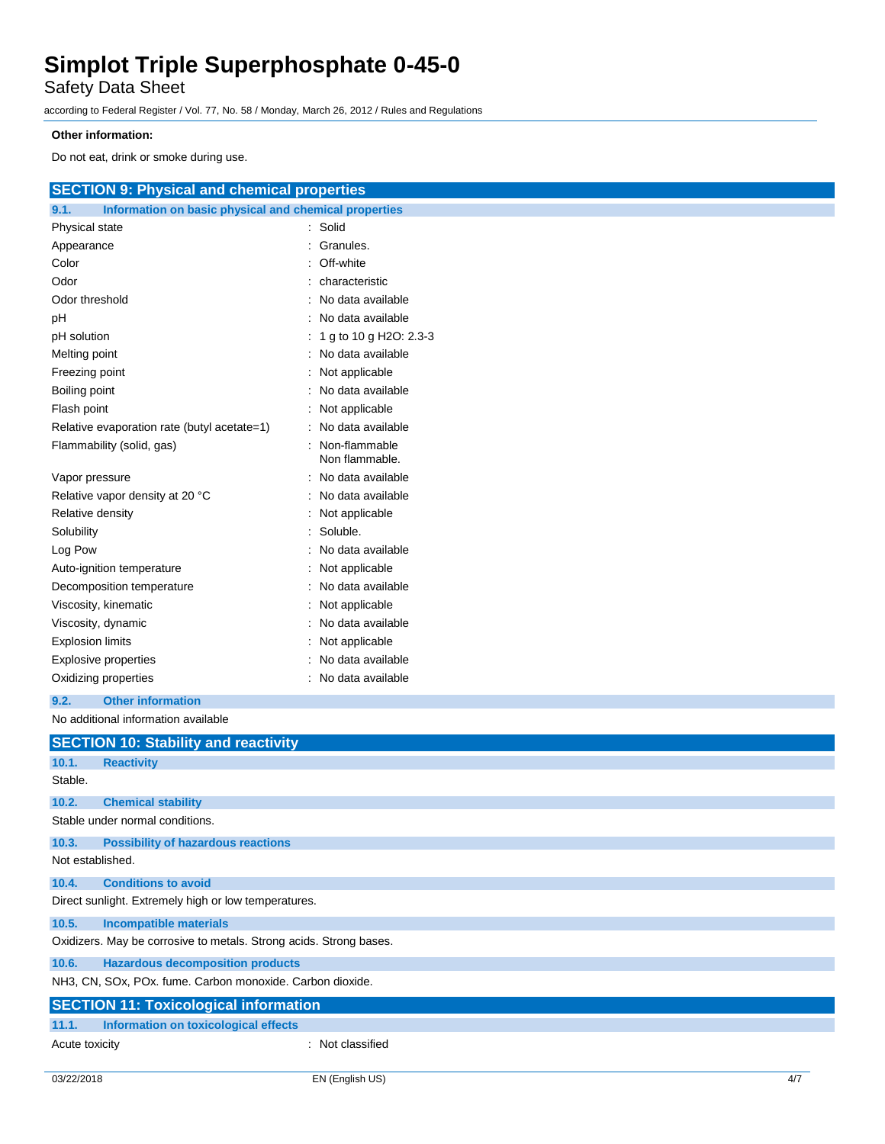Safety Data Sheet

according to Federal Register / Vol. 77, No. 58 / Monday, March 26, 2012 / Rules and Regulations

### **Other information:**

Do not eat, drink or smoke during use.

| <b>SECTION 9: Physical and chemical properties</b>            |                                   |  |  |
|---------------------------------------------------------------|-----------------------------------|--|--|
| Information on basic physical and chemical properties<br>9.1. |                                   |  |  |
| Physical state                                                | : Solid                           |  |  |
| Appearance                                                    | : Granules.                       |  |  |
| Color                                                         | : Off-white                       |  |  |
| Odor                                                          | : characteristic                  |  |  |
| Odor threshold                                                | : No data available               |  |  |
| рH                                                            | : No data available               |  |  |
| pH solution                                                   | g to 10 g H2O: 2.3-3<br>: 1       |  |  |
| Melting point                                                 | : No data available               |  |  |
| Freezing point                                                | : Not applicable                  |  |  |
| Boiling point                                                 | : No data available               |  |  |
| Flash point                                                   | : Not applicable                  |  |  |
| Relative evaporation rate (butyl acetate=1)                   | : No data available               |  |  |
| Flammability (solid, gas)                                     | : Non-flammable<br>Non flammable. |  |  |
| Vapor pressure                                                | : No data available               |  |  |
| Relative vapor density at 20 °C                               | : No data available               |  |  |
| Relative density                                              | : Not applicable                  |  |  |
| Solubility                                                    | : Soluble.                        |  |  |
| Log Pow                                                       | : No data available               |  |  |
| Auto-ignition temperature                                     | : Not applicable                  |  |  |
| Decomposition temperature                                     | : No data available               |  |  |
| Viscosity, kinematic                                          | : Not applicable                  |  |  |
| Viscosity, dynamic                                            | : No data available               |  |  |
| <b>Explosion limits</b>                                       | : Not applicable                  |  |  |
| <b>Explosive properties</b>                                   | : No data available               |  |  |
| Oxidizing properties                                          | : No data available               |  |  |
| 9.2.<br><b>Other information</b>                              |                                   |  |  |
| No additional information available                           |                                   |  |  |
| <b>SECTION 10: Stability and reactivity</b>                   |                                   |  |  |
| 10.1.<br><b>Reactivity</b>                                    |                                   |  |  |
| Stable.                                                       |                                   |  |  |
| 10.2.<br><b>Chemical stability</b>                            |                                   |  |  |
| Stable under normal conditions.                               |                                   |  |  |
| 10.3.<br><b>Possibility of hazardous reactions</b>            |                                   |  |  |
| Not established.                                              |                                   |  |  |
| <b>Conditions to avoid</b><br>10.4.                           |                                   |  |  |
| Direct sunlight. Extremely high or low temperatures.          |                                   |  |  |

**10.5. Incompatible materials**

Oxidizers. May be corrosive to metals. Strong acids. Strong bases.

**10.6. Hazardous decomposition products**

NH3, CN, SOx, POx. fume. Carbon monoxide. Carbon dioxide.

| <b>SECTION 11: Toxicological information</b>  |                  |
|-----------------------------------------------|------------------|
| 11.1.<br>Information on toxicological effects |                  |
| Acute toxicity                                | : Not classified |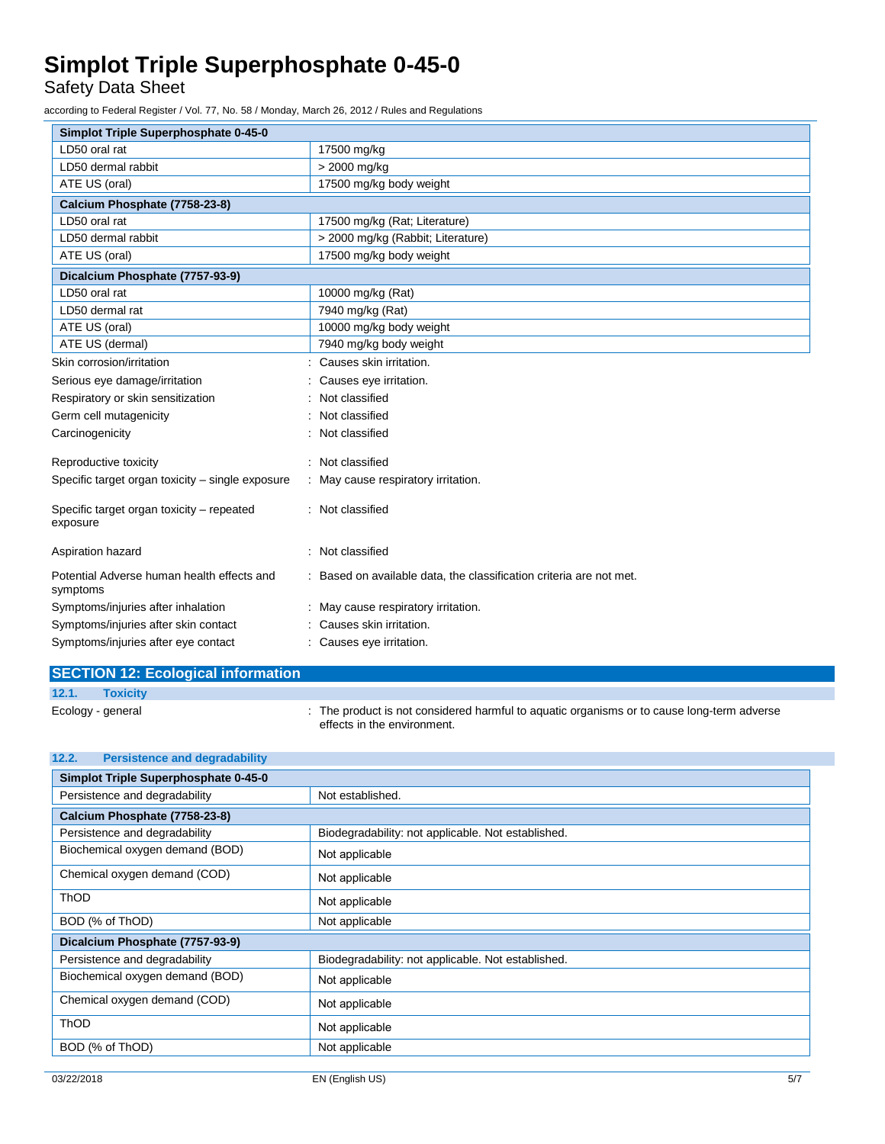Safety Data Sheet

according to Federal Register / Vol. 77, No. 58 / Monday, March 26, 2012 / Rules and Regulations

| Simplot Triple Superphosphate 0-45-0                   |                                                                     |
|--------------------------------------------------------|---------------------------------------------------------------------|
| LD50 oral rat                                          | 17500 mg/kg                                                         |
| LD50 dermal rabbit                                     | > 2000 mg/kg                                                        |
| ATE US (oral)                                          | 17500 mg/kg body weight                                             |
| Calcium Phosphate (7758-23-8)                          |                                                                     |
| LD50 oral rat                                          | 17500 mg/kg (Rat; Literature)                                       |
| LD50 dermal rabbit                                     | > 2000 mg/kg (Rabbit; Literature)                                   |
| ATE US (oral)                                          | 17500 mg/kg body weight                                             |
| Dicalcium Phosphate (7757-93-9)                        |                                                                     |
| LD50 oral rat                                          | 10000 mg/kg (Rat)                                                   |
| LD50 dermal rat                                        | 7940 mg/kg (Rat)                                                    |
| ATE US (oral)                                          | 10000 mg/kg body weight                                             |
| ATE US (dermal)                                        | 7940 mg/kg body weight                                              |
| Skin corrosion/irritation                              | Causes skin irritation.                                             |
| Serious eye damage/irritation                          | Causes eye irritation.                                              |
| Respiratory or skin sensitization                      | Not classified                                                      |
| Germ cell mutagenicity                                 | Not classified                                                      |
| Carcinogenicity                                        | Not classified                                                      |
| Reproductive toxicity                                  | Not classified                                                      |
| Specific target organ toxicity - single exposure       | May cause respiratory irritation.                                   |
| Specific target organ toxicity - repeated<br>exposure  | Not classified                                                      |
| Aspiration hazard                                      | Not classified                                                      |
| Potential Adverse human health effects and<br>symptoms | : Based on available data, the classification criteria are not met. |
| Symptoms/injuries after inhalation                     | May cause respiratory irritation.                                   |
| Symptoms/injuries after skin contact                   | Causes skin irritation.                                             |
| Symptoms/injuries after eye contact                    | Causes eye irritation.                                              |
|                                                        |                                                                     |

| <b>SECTION 12: Ecological information</b> |                                                                                                                         |
|-------------------------------------------|-------------------------------------------------------------------------------------------------------------------------|
| 12.1.<br><b>Toxicity</b>                  |                                                                                                                         |
| Ecology - general                         | The product is not considered harmful to aquatic organisms or to cause long-term adverse<br>effects in the environment. |

| 12.2.<br><b>Persistence and degradability</b> |                                                    |  |
|-----------------------------------------------|----------------------------------------------------|--|
| Simplot Triple Superphosphate 0-45-0          |                                                    |  |
| Persistence and degradability                 | Not established.                                   |  |
| Calcium Phosphate (7758-23-8)                 |                                                    |  |
| Persistence and degradability                 | Biodegradability: not applicable. Not established. |  |
| Biochemical oxygen demand (BOD)               | Not applicable                                     |  |
| Chemical oxygen demand (COD)                  | Not applicable                                     |  |
| <b>ThOD</b>                                   | Not applicable                                     |  |
| BOD (% of ThOD)                               | Not applicable                                     |  |
| Dicalcium Phosphate (7757-93-9)               |                                                    |  |
| Persistence and degradability                 | Biodegradability: not applicable. Not established. |  |
| Biochemical oxygen demand (BOD)               | Not applicable                                     |  |
| Chemical oxygen demand (COD)                  | Not applicable                                     |  |
| <b>ThOD</b>                                   | Not applicable                                     |  |
| BOD (% of ThOD)                               | Not applicable                                     |  |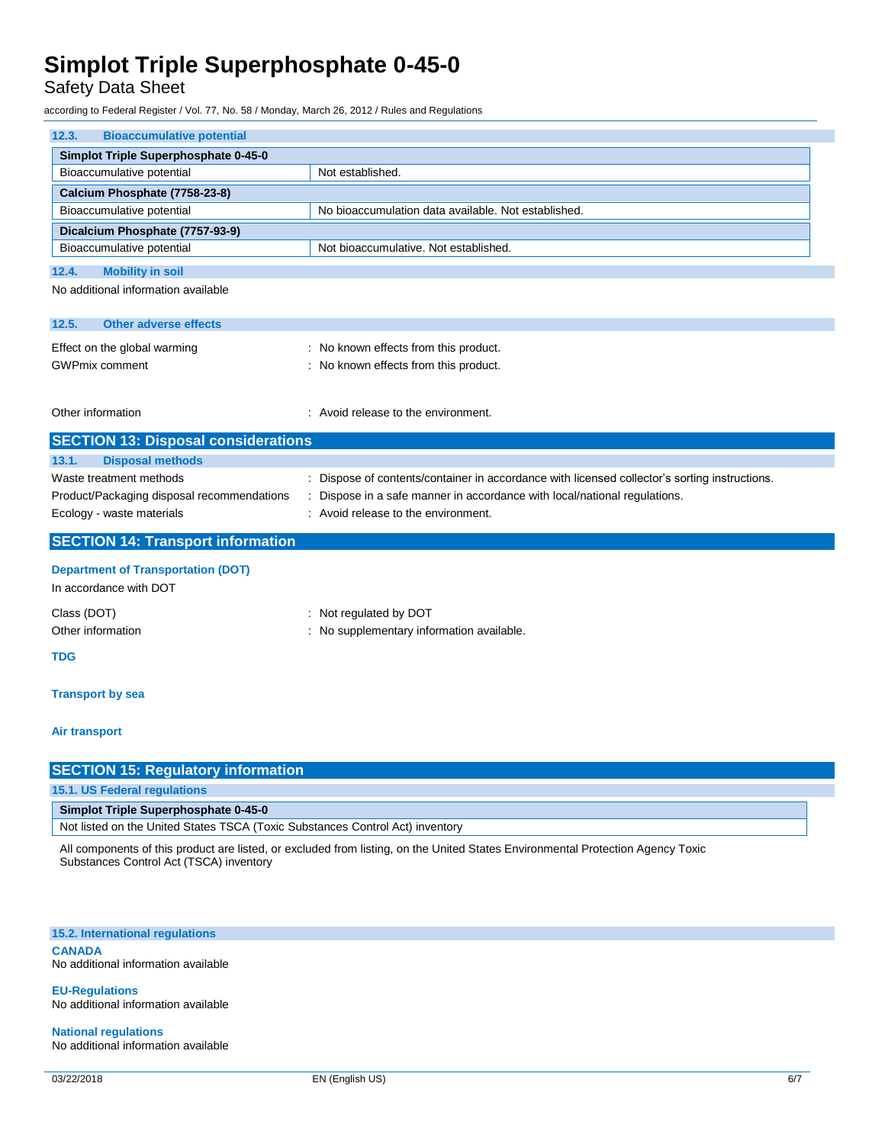Safety Data Sheet

according to Federal Register / Vol. 77, No. 58 / Monday, March 26, 2012 / Rules and Regulations

| 12.3.<br><b>Bioaccumulative potential</b>                                     |                                                                                                                                 |
|-------------------------------------------------------------------------------|---------------------------------------------------------------------------------------------------------------------------------|
| Simplot Triple Superphosphate 0-45-0                                          |                                                                                                                                 |
| Bioaccumulative potential                                                     | Not established.                                                                                                                |
| Calcium Phosphate (7758-23-8)                                                 |                                                                                                                                 |
| Bioaccumulative potential                                                     | No bioaccumulation data available. Not established.                                                                             |
| Dicalcium Phosphate (7757-93-9)                                               |                                                                                                                                 |
| Bioaccumulative potential                                                     | Not bioaccumulative. Not established.                                                                                           |
| 12.4.<br><b>Mobility in soil</b>                                              |                                                                                                                                 |
| No additional information available                                           |                                                                                                                                 |
|                                                                               |                                                                                                                                 |
| 12.5.<br><b>Other adverse effects</b>                                         |                                                                                                                                 |
| Effect on the global warming                                                  | : No known effects from this product.                                                                                           |
| <b>GWPmix comment</b>                                                         | : No known effects from this product.                                                                                           |
|                                                                               |                                                                                                                                 |
| Other information                                                             | : Avoid release to the environment.                                                                                             |
|                                                                               |                                                                                                                                 |
| <b>SECTION 13: Disposal considerations</b>                                    |                                                                                                                                 |
| 13.1.<br><b>Disposal methods</b>                                              |                                                                                                                                 |
| Waste treatment methods                                                       | : Dispose of contents/container in accordance with licensed collector's sorting instructions.                                   |
| Product/Packaging disposal recommendations                                    | : Dispose in a safe manner in accordance with local/national regulations.                                                       |
| Ecology - waste materials                                                     | : Avoid release to the environment.                                                                                             |
| <b>SECTION 14: Transport information</b>                                      |                                                                                                                                 |
| <b>Department of Transportation (DOT)</b>                                     |                                                                                                                                 |
| In accordance with DOT                                                        |                                                                                                                                 |
| Class (DOT)                                                                   | : Not regulated by DOT                                                                                                          |
| Other information                                                             | : No supplementary information available.                                                                                       |
|                                                                               |                                                                                                                                 |
| TDG                                                                           |                                                                                                                                 |
| <b>Transport by sea</b>                                                       |                                                                                                                                 |
| Air transport                                                                 |                                                                                                                                 |
| <b>SECTION 15: Regulatory information</b>                                     |                                                                                                                                 |
| 15.1. US Federal regulations                                                  |                                                                                                                                 |
| Simplot Triple Superphosphate 0-45-0                                          |                                                                                                                                 |
| Not listed on the United States TSCA (Toxic Substances Control Act) inventory |                                                                                                                                 |
| Substances Control Act (TSCA) inventory                                       | All components of this product are listed, or excluded from listing, on the United States Environmental Protection Agency Toxic |

#### **15.2. International regulations CANADA**

No additional information available

**EU-Regulations** No additional information available

**National regulations** No additional information available